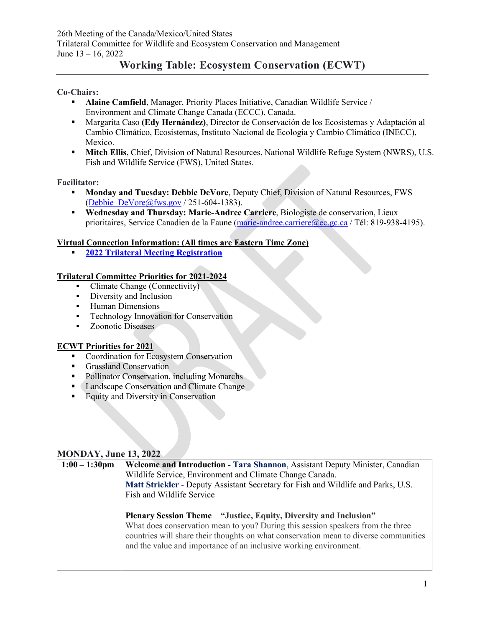# **Working Table: Ecosystem Conservation (ECWT)**

#### **Co-Chairs:**

- **Alaine Camfield, Manager, Priority Places Initiative, Canadian Wildlife Service /** Environment and Climate Change Canada (ECCC), Canada.
- Margarita Caso **(Edy Hernández)**, Director de Conservación de los Ecosistemas y Adaptación al Cambio Climático, Ecosistemas, Instituto Nacional de Ecología y Cambio Climático (INECC), Mexico.
- **Mitch Ellis**, Chief, Division of Natural Resources, National Wildlife Refuge System (NWRS), U.S. Fish and Wildlife Service (FWS), United States.

#### **Facilitator:**

- **Monday and Tuesday: Debbie DeVore**, Deputy Chief, Division of Natural Resources, FWS [\(Debbie\\_DeVore@fws.gov](mailto:Debbie_DeVore@fws.gov) / 251-604-1383).
- **Wednesday and Thursday: Marie-Andree Carriere**, Biologiste de conservation, Lieux prioritaires, Service Canadien de la Faune [\(marie-andree.carriere@ec.gc.ca](mailto:marie-andree.carriere@ec.gc.ca) / Tél: 819-938-4195).

#### **Virtual Connection Information: (All times are Eastern Time Zone)**

**[2022 Trilateral Meeting Registration](https://www.trilat.org/)**

### **Trilateral Committee Priorities for 2021-2024**

- Climate Change (Connectivity)
- **Diversity and Inclusion**
- **-** Human Dimensions
- **Technology Innovation for Conservation**
- Zoonotic Diseases

### **ECWT Priorities for 2021**

- Coordination for Ecosystem Conservation
- Grassland Conservation
- Pollinator Conservation, including Monarchs
- Landscape Conservation and Climate Change
- **Equity and Diversity in Conservation**

### **MONDAY, June 13, 2022**

| $1:00 - 1:30$ pm | Welcome and Introduction - Tara Shannon, Assistant Deputy Minister, Canadian         |
|------------------|--------------------------------------------------------------------------------------|
|                  | Wildlife Service, Environment and Climate Change Canada.                             |
|                  | Matt Strickler - Deputy Assistant Secretary for Fish and Wildlife and Parks, U.S.    |
|                  | Fish and Wildlife Service                                                            |
|                  |                                                                                      |
|                  | Plenary Session Theme - "Justice, Equity, Diversity and Inclusion"                   |
|                  | What does conservation mean to you? During this session speakers from the three      |
|                  | countries will share their thoughts on what conservation mean to diverse communities |
|                  | and the value and importance of an inclusive working environment.                    |
|                  |                                                                                      |
|                  |                                                                                      |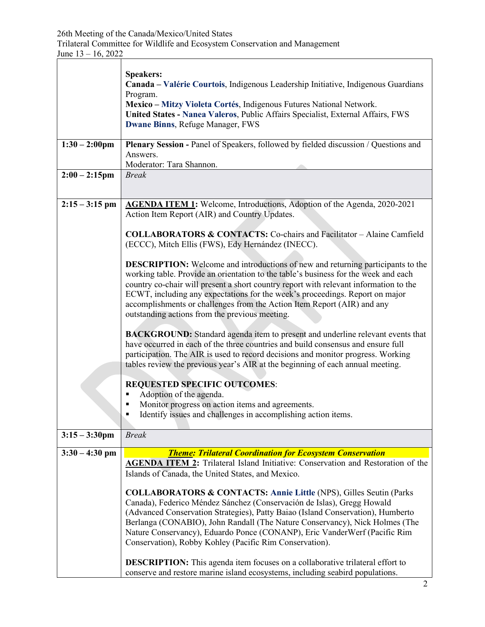|                         | <b>Speakers:</b><br>Canada – Valérie Courtois, Indigenous Leadership Initiative, Indigenous Guardians<br>Program.<br>Mexico - Mitzy Violeta Cortés, Indigenous Futures National Network.<br>United States - Nanea Valeros, Public Affairs Specialist, External Affairs, FWS                                                                                                                                                                                                         |
|-------------------------|-------------------------------------------------------------------------------------------------------------------------------------------------------------------------------------------------------------------------------------------------------------------------------------------------------------------------------------------------------------------------------------------------------------------------------------------------------------------------------------|
|                         | Dwane Binns, Refuge Manager, FWS                                                                                                                                                                                                                                                                                                                                                                                                                                                    |
| $1:30 - 2:00 \text{pm}$ | Plenary Session - Panel of Speakers, followed by fielded discussion / Questions and<br>Answers.<br>Moderator: Tara Shannon.                                                                                                                                                                                                                                                                                                                                                         |
| $2:00 - 2:15$ pm        | <b>Break</b>                                                                                                                                                                                                                                                                                                                                                                                                                                                                        |
| $2:15 - 3:15$ pm        | AGENDA ITEM 1: Welcome, Introductions, Adoption of the Agenda, 2020-2021<br>Action Item Report (AIR) and Country Updates.                                                                                                                                                                                                                                                                                                                                                           |
|                         | <b>COLLABORATORS &amp; CONTACTS:</b> Co-chairs and Facilitator – Alaine Camfield<br>(ECCC), Mitch Ellis (FWS), Edy Hernández (INECC).                                                                                                                                                                                                                                                                                                                                               |
|                         | <b>DESCRIPTION:</b> Welcome and introductions of new and returning participants to the<br>working table. Provide an orientation to the table's business for the week and each<br>country co-chair will present a short country report with relevant information to the<br>ECWT, including any expectations for the week's proceedings. Report on major<br>accomplishments or challenges from the Action Item Report (AIR) and any<br>outstanding actions from the previous meeting. |
|                         | <b>BACKGROUND:</b> Standard agenda item to present and underline relevant events that<br>have occurred in each of the three countries and build consensus and ensure full<br>participation. The AIR is used to record decisions and monitor progress. Working<br>tables review the previous year's AIR at the beginning of each annual meeting.                                                                                                                                     |
|                         | <b>REQUESTED SPECIFIC OUTCOMES:</b>                                                                                                                                                                                                                                                                                                                                                                                                                                                 |
|                         | Adoption of the agenda.<br>٠<br>Monitor progress on action items and agreements.<br>Identify issues and challenges in accomplishing action items.                                                                                                                                                                                                                                                                                                                                   |
| $3:15 - 3:30$ pm        | <b>Break</b>                                                                                                                                                                                                                                                                                                                                                                                                                                                                        |
| $3:30 - 4:30$ pm        | <b>Theme: Trilateral Coordination for Ecosystem Conservation</b><br><b>AGENDA ITEM 2:</b> Trilateral Island Initiative: Conservation and Restoration of the<br>Islands of Canada, the United States, and Mexico.                                                                                                                                                                                                                                                                    |
|                         | <b>COLLABORATORS &amp; CONTACTS: Annie Little (NPS), Gilles Seutin (Parks)</b><br>Canada), Federico Méndez Sánchez (Conservación de Islas), Gregg Howald<br>(Advanced Conservation Strategies), Patty Baiao (Island Conservation), Humberto<br>Berlanga (CONABIO), John Randall (The Nature Conservancy), Nick Holmes (The<br>Nature Conservancy), Eduardo Ponce (CONANP), Eric VanderWerf (Pacific Rim<br>Conservation), Robby Kohley (Pacific Rim Conservation).                  |
|                         | <b>DESCRIPTION:</b> This agenda item focuses on a collaborative trilateral effort to<br>conserve and restore marine island ecosystems, including seabird populations.                                                                                                                                                                                                                                                                                                               |

 $\overline{\phantom{a}}$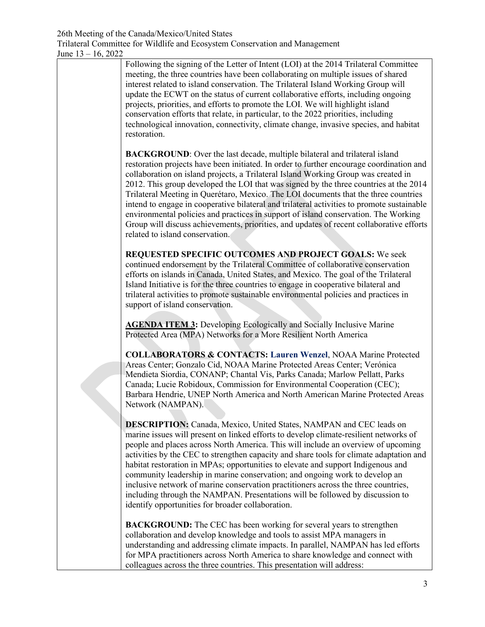Following the signing of the Letter of Intent (LOI) at the 2014 Trilateral Committee meeting, the three countries have been collaborating on multiple issues of shared interest related to island conservation. The Trilateral Island Working Group will update the ECWT on the status of current collaborative efforts, including ongoing projects, priorities, and efforts to promote the LOI. We will highlight island conservation efforts that relate, in particular, to the 2022 priorities, including technological innovation, connectivity, climate change, invasive species, and habitat restoration.

**BACKGROUND:** Over the last decade, multiple bilateral and trilateral island restoration projects have been initiated. In order to further encourage coordination and collaboration on island projects, a Trilateral Island Working Group was created in 2012. This group developed the LOI that was signed by the three countries at the 2014 Trilateral Meeting in Querétaro, Mexico. The LOI documents that the three countries intend to engage in cooperative bilateral and trilateral activities to promote sustainable environmental policies and practices in support of island conservation. The Working Group will discuss achievements, priorities, and updates of recent collaborative efforts related to island conservation.

**REQUESTED SPECIFIC OUTCOMES AND PROJECT GOALS:** We seek continued endorsement by the Trilateral Committee of collaborative conservation efforts on islands in Canada, United States, and Mexico. The goal of the Trilateral Island Initiative is for the three countries to engage in cooperative bilateral and trilateral activities to promote sustainable environmental policies and practices in support of island conservation.

**AGENDA ITEM 3:** Developing Ecologically and Socially Inclusive Marine Protected Area (MPA) Networks for a More Resilient North America

**COLLABORATORS & CONTACTS: Lauren Wenzel**, NOAA Marine Protected Areas Center; Gonzalo Cid, NOAA Marine Protected Areas Center; Verónica Mendieta Siordia, CONANP; Chantal Vis, Parks Canada; Marlow Pellatt, Parks Canada; Lucie Robidoux, Commission for Environmental Cooperation (CEC); Barbara Hendrie, UNEP North America and North American Marine Protected Areas Network (NAMPAN).

**DESCRIPTION:** Canada, Mexico, United States, NAMPAN and CEC leads on marine issues will present on linked efforts to develop climate-resilient networks of people and places across North America. This will include an overview of upcoming activities by the CEC to strengthen capacity and share tools for climate adaptation and habitat restoration in MPAs; opportunities to elevate and support Indigenous and community leadership in marine conservation; and ongoing work to develop an inclusive network of marine conservation practitioners across the three countries, including through the NAMPAN. Presentations will be followed by discussion to identify opportunities for broader collaboration.

**BACKGROUND:** The CEC has been working for several years to strengthen collaboration and develop knowledge and tools to assist MPA managers in understanding and addressing climate impacts. In parallel, NAMPAN has led efforts for MPA practitioners across North America to share knowledge and connect with colleagues across the three countries. This presentation will address: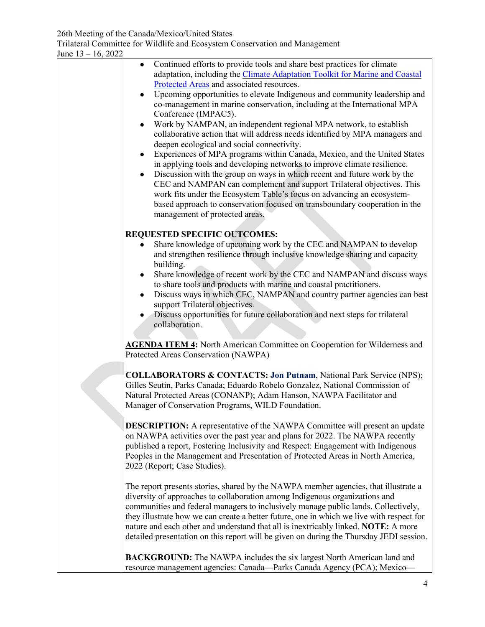| June $13 - 16$ , 2022 |                                                                                                                                                                                                                                                                                                                                                                                                                                                                                                                                                                                                                                                                                                                                                                                                                                                                                                                                                                                                                                                                                                                         |
|-----------------------|-------------------------------------------------------------------------------------------------------------------------------------------------------------------------------------------------------------------------------------------------------------------------------------------------------------------------------------------------------------------------------------------------------------------------------------------------------------------------------------------------------------------------------------------------------------------------------------------------------------------------------------------------------------------------------------------------------------------------------------------------------------------------------------------------------------------------------------------------------------------------------------------------------------------------------------------------------------------------------------------------------------------------------------------------------------------------------------------------------------------------|
|                       | Continued efforts to provide tools and share best practices for climate<br>adaptation, including the Climate Adaptation Toolkit for Marine and Coastal<br>Protected Areas and associated resources.<br>Upcoming opportunities to elevate Indigenous and community leadership and<br>co-management in marine conservation, including at the International MPA<br>Conference (IMPAC5).<br>Work by NAMPAN, an independent regional MPA network, to establish<br>$\bullet$<br>collaborative action that will address needs identified by MPA managers and<br>deepen ecological and social connectivity.<br>Experiences of MPA programs within Canada, Mexico, and the United States<br>in applying tools and developing networks to improve climate resilience.<br>Discussion with the group on ways in which recent and future work by the<br>$\bullet$<br>CEC and NAMPAN can complement and support Trilateral objectives. This<br>work fits under the Ecosystem Table's focus on advancing an ecosystem-<br>based approach to conservation focused on transboundary cooperation in the<br>management of protected areas. |
|                       | <b>REQUESTED SPECIFIC OUTCOMES:</b>                                                                                                                                                                                                                                                                                                                                                                                                                                                                                                                                                                                                                                                                                                                                                                                                                                                                                                                                                                                                                                                                                     |
|                       | Share knowledge of upcoming work by the CEC and NAMPAN to develop<br>and strengthen resilience through inclusive knowledge sharing and capacity<br>building.                                                                                                                                                                                                                                                                                                                                                                                                                                                                                                                                                                                                                                                                                                                                                                                                                                                                                                                                                            |
|                       | Share knowledge of recent work by the CEC and NAMPAN and discuss ways<br>to share tools and products with marine and coastal practitioners.<br>Discuss ways in which CEC, NAMPAN and country partner agencies can best<br>$\bullet$<br>support Trilateral objectives.<br>Discuss opportunities for future collaboration and next steps for trilateral<br>collaboration.                                                                                                                                                                                                                                                                                                                                                                                                                                                                                                                                                                                                                                                                                                                                                 |
|                       | <b>AGENDA ITEM 4:</b> North American Committee on Cooperation for Wilderness and<br>Protected Areas Conservation (NAWPA)                                                                                                                                                                                                                                                                                                                                                                                                                                                                                                                                                                                                                                                                                                                                                                                                                                                                                                                                                                                                |
|                       | <b>COLLABORATORS &amp; CONTACTS: Jon Putnam, National Park Service (NPS);</b><br>Gilles Seutin, Parks Canada; Eduardo Robelo Gonzalez, National Commission of<br>Natural Protected Areas (CONANP); Adam Hanson, NAWPA Facilitator and<br>Manager of Conservation Programs, WILD Foundation.                                                                                                                                                                                                                                                                                                                                                                                                                                                                                                                                                                                                                                                                                                                                                                                                                             |
|                       | <b>DESCRIPTION:</b> A representative of the NAWPA Committee will present an update<br>on NAWPA activities over the past year and plans for 2022. The NAWPA recently<br>published a report, Fostering Inclusivity and Respect: Engagement with Indigenous<br>Peoples in the Management and Presentation of Protected Areas in North America,<br>2022 (Report; Case Studies).                                                                                                                                                                                                                                                                                                                                                                                                                                                                                                                                                                                                                                                                                                                                             |
|                       | The report presents stories, shared by the NAWPA member agencies, that illustrate a<br>diversity of approaches to collaboration among Indigenous organizations and<br>communities and federal managers to inclusively manage public lands. Collectively,<br>they illustrate how we can create a better future, one in which we live with respect for<br>nature and each other and understand that all is inextricably linked. NOTE: A more<br>detailed presentation on this report will be given on during the Thursday JEDI session.                                                                                                                                                                                                                                                                                                                                                                                                                                                                                                                                                                                   |
|                       | <b>BACKGROUND:</b> The NAWPA includes the six largest North American land and<br>resource management agencies: Canada-Parks Canada Agency (PCA); Mexico-                                                                                                                                                                                                                                                                                                                                                                                                                                                                                                                                                                                                                                                                                                                                                                                                                                                                                                                                                                |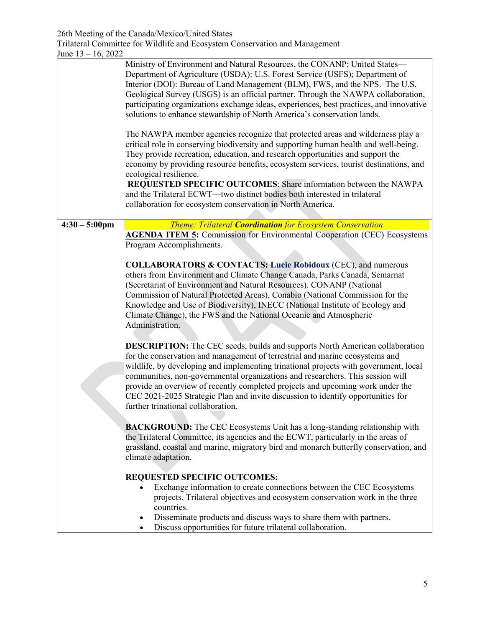|                         | Ministry of Environment and Natural Resources, the CONANP; United States-<br>Department of Agriculture (USDA): U.S. Forest Service (USFS); Department of<br>Interior (DOI): Bureau of Land Management (BLM), FWS, and the NPS. The U.S.<br>Geological Survey (USGS) is an official partner. Through the NAWPA collaboration,<br>participating organizations exchange ideas, experiences, best practices, and innovative<br>solutions to enhance stewardship of North America's conservation lands.<br>The NAWPA member agencies recognize that protected areas and wilderness play a<br>critical role in conserving biodiversity and supporting human health and well-being.<br>They provide recreation, education, and research opportunities and support the<br>economy by providing resource benefits, ecosystem services, tourist destinations, and<br>ecological resilience.<br>REQUESTED SPECIFIC OUTCOMES: Share information between the NAWPA<br>and the Trilateral ECWT—two distinct bodies both interested in trilateral<br>collaboration for ecosystem conservation in North America. |
|-------------------------|--------------------------------------------------------------------------------------------------------------------------------------------------------------------------------------------------------------------------------------------------------------------------------------------------------------------------------------------------------------------------------------------------------------------------------------------------------------------------------------------------------------------------------------------------------------------------------------------------------------------------------------------------------------------------------------------------------------------------------------------------------------------------------------------------------------------------------------------------------------------------------------------------------------------------------------------------------------------------------------------------------------------------------------------------------------------------------------------------|
| $4:30 - 5:00 \text{pm}$ | <b>Theme: Trilateral Coordination for Ecosystem Conservation</b><br><b>AGENDA ITEM 5:</b> Commission for Environmental Cooperation (CEC) Ecosystems<br>Program Accomplishments.                                                                                                                                                                                                                                                                                                                                                                                                                                                                                                                                                                                                                                                                                                                                                                                                                                                                                                                  |
|                         | <b>COLLABORATORS &amp; CONTACTS: Lucie Robidoux (CEC), and numerous</b><br>others from Environment and Climate Change Canada, Parks Canada, Semarnat<br>(Secretariat of Environment and Natural Resources), CONANP (National<br>Commission of Natural Protected Areas), Conabio (National Commission for the<br>Knowledge and Use of Biodiversity), INECC (National Institute of Ecology and<br>Climate Change), the FWS and the National Oceanic and Atmospheric<br>Administration.                                                                                                                                                                                                                                                                                                                                                                                                                                                                                                                                                                                                             |
|                         | <b>DESCRIPTION:</b> The CEC seeds, builds and supports North American collaboration<br>for the conservation and management of terrestrial and marine ecosystems and<br>wildlife, by developing and implementing trinational projects with government, local<br>communities, non-governmental organizations and researchers. This session will<br>provide an overview of recently completed projects and upcoming work under the<br>CEC 2021-2025 Strategic Plan and invite discussion to identify opportunities for<br>further trinational collaboration.                                                                                                                                                                                                                                                                                                                                                                                                                                                                                                                                        |
|                         | <b>BACKGROUND:</b> The CEC Ecosystems Unit has a long-standing relationship with<br>the Trilateral Committee, its agencies and the ECWT, particularly in the areas of<br>grassland, coastal and marine, migratory bird and monarch butterfly conservation, and<br>climate adaptation.                                                                                                                                                                                                                                                                                                                                                                                                                                                                                                                                                                                                                                                                                                                                                                                                            |
|                         | <b>REQUESTED SPECIFIC OUTCOMES:</b><br>Exchange information to create connections between the CEC Ecosystems<br>projects, Trilateral objectives and ecosystem conservation work in the three<br>countries.<br>Disseminate products and discuss ways to share them with partners.<br>Discuss opportunities for future trilateral collaboration.                                                                                                                                                                                                                                                                                                                                                                                                                                                                                                                                                                                                                                                                                                                                                   |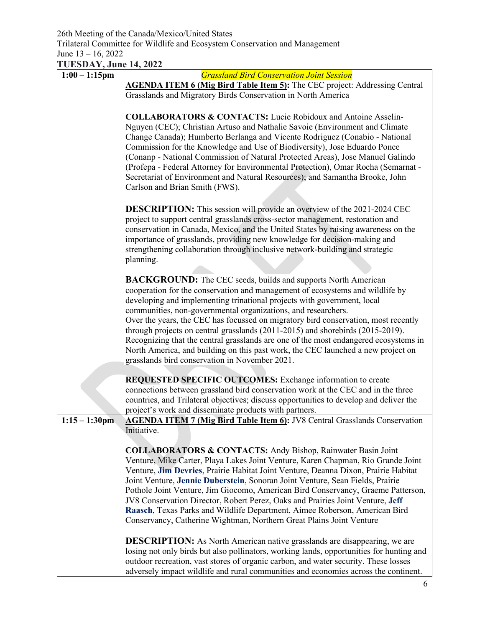**TUESDAY, June 14, 2022** 

| 1 CLODIMI, Julie 1, 2022<br>$1:00 - 1:15$ pm | <b>Grassland Bird Conservation Joint Session</b>                                                                                                                                                                                                                                                                                                                                                                                |
|----------------------------------------------|---------------------------------------------------------------------------------------------------------------------------------------------------------------------------------------------------------------------------------------------------------------------------------------------------------------------------------------------------------------------------------------------------------------------------------|
|                                              | <b>AGENDA ITEM 6 (Mig Bird Table Item 5):</b> The CEC project: Addressing Central                                                                                                                                                                                                                                                                                                                                               |
|                                              | Grasslands and Migratory Birds Conservation in North America                                                                                                                                                                                                                                                                                                                                                                    |
|                                              | <b>COLLABORATORS &amp; CONTACTS:</b> Lucie Robidoux and Antoine Asselin-<br>Nguyen (CEC); Christian Artuso and Nathalie Savoie (Environment and Climate<br>Change Canada); Humberto Berlanga and Vicente Rodriguez (Conabio - National                                                                                                                                                                                          |
|                                              | Commission for the Knowledge and Use of Biodiversity), Jose Eduardo Ponce<br>(Conanp - National Commission of Natural Protected Areas), Jose Manuel Galindo<br>(Profepa - Federal Attorney for Environmental Protection), Omar Rocha (Semarnat -<br>Secretariat of Environment and Natural Resources); and Samantha Brooke, John<br>Carlson and Brian Smith (FWS).                                                              |
|                                              | <b>DESCRIPTION:</b> This session will provide an overview of the 2021-2024 CEC<br>project to support central grasslands cross-sector management, restoration and<br>conservation in Canada, Mexico, and the United States by raising awareness on the<br>importance of grasslands, providing new knowledge for decision-making and<br>strengthening collaboration through inclusive network-building and strategic<br>planning. |
|                                              | <b>BACKGROUND:</b> The CEC seeds, builds and supports North American<br>cooperation for the conservation and management of ecosystems and wildlife by<br>developing and implementing trinational projects with government, local<br>communities, non-governmental organizations, and researchers.                                                                                                                               |
|                                              | Over the years, the CEC has focussed on migratory bird conservation, most recently<br>through projects on central grasslands (2011-2015) and shorebirds (2015-2019).<br>Recognizing that the central grasslands are one of the most endangered ecosystems in<br>North America, and building on this past work, the CEC launched a new project on                                                                                |
|                                              | grasslands bird conservation in November 2021.                                                                                                                                                                                                                                                                                                                                                                                  |
|                                              | <b>REQUESTED SPECIFIC OUTCOMES:</b> Exchange information to create                                                                                                                                                                                                                                                                                                                                                              |
|                                              | connections between grassland bird conservation work at the CEC and in the three<br>countries, and Trilateral objectives; discuss opportunities to develop and deliver the                                                                                                                                                                                                                                                      |
| $1:15 - 1:30$ pm                             | project's work and disseminate products with partners.                                                                                                                                                                                                                                                                                                                                                                          |
|                                              | <b>AGENDA ITEM 7 (Mig Bird Table Item 6):</b> JV8 Central Grasslands Conservation<br>Initiative.                                                                                                                                                                                                                                                                                                                                |
|                                              |                                                                                                                                                                                                                                                                                                                                                                                                                                 |
|                                              | <b>COLLABORATORS &amp; CONTACTS:</b> Andy Bishop, Rainwater Basin Joint                                                                                                                                                                                                                                                                                                                                                         |
|                                              | Venture, Mike Carter, Playa Lakes Joint Venture, Karen Chapman, Rio Grande Joint                                                                                                                                                                                                                                                                                                                                                |
|                                              | Venture, Jim Devries, Prairie Habitat Joint Venture, Deanna Dixon, Prairie Habitat                                                                                                                                                                                                                                                                                                                                              |
|                                              | Joint Venture, Jennie Duberstein, Sonoran Joint Venture, Sean Fields, Prairie<br>Pothole Joint Venture, Jim Giocomo, American Bird Conservancy, Graeme Patterson,                                                                                                                                                                                                                                                               |
|                                              | JV8 Conservation Director, Robert Perez, Oaks and Prairies Joint Venture, Jeff                                                                                                                                                                                                                                                                                                                                                  |
|                                              | Raasch, Texas Parks and Wildlife Department, Aimee Roberson, American Bird                                                                                                                                                                                                                                                                                                                                                      |
|                                              | Conservancy, Catherine Wightman, Northern Great Plains Joint Venture                                                                                                                                                                                                                                                                                                                                                            |
|                                              |                                                                                                                                                                                                                                                                                                                                                                                                                                 |
|                                              | <b>DESCRIPTION:</b> As North American native grasslands are disappearing, we are                                                                                                                                                                                                                                                                                                                                                |
|                                              | losing not only birds but also pollinators, working lands, opportunities for hunting and<br>outdoor recreation, vast stores of organic carbon, and water security. These losses                                                                                                                                                                                                                                                 |
|                                              | adversely impact wildlife and rural communities and economies across the continent.                                                                                                                                                                                                                                                                                                                                             |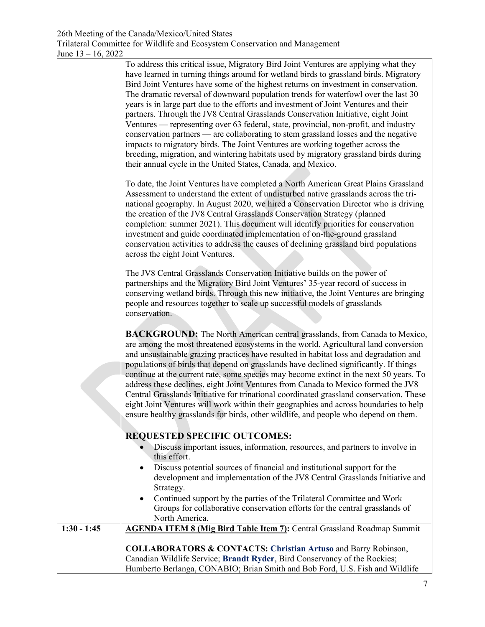|               | To address this critical issue, Migratory Bird Joint Ventures are applying what they<br>have learned in turning things around for wetland birds to grassland birds. Migratory<br>Bird Joint Ventures have some of the highest returns on investment in conservation.<br>The dramatic reversal of downward population trends for waterfowl over the last 30<br>years is in large part due to the efforts and investment of Joint Ventures and their<br>partners. Through the JV8 Central Grasslands Conservation Initiative, eight Joint<br>Ventures — representing over 63 federal, state, provincial, non-profit, and industry<br>conservation partners — are collaborating to stem grassland losses and the negative<br>impacts to migratory birds. The Joint Ventures are working together across the<br>breeding, migration, and wintering habitats used by migratory grassland birds during<br>their annual cycle in the United States, Canada, and Mexico.<br>To date, the Joint Ventures have completed a North American Great Plains Grassland<br>Assessment to understand the extent of undisturbed native grasslands across the tri-<br>national geography. In August 2020, we hired a Conservation Director who is driving<br>the creation of the JV8 Central Grasslands Conservation Strategy (planned<br>completion: summer 2021). This document will identify priorities for conservation<br>investment and guide coordinated implementation of on-the-ground grassland<br>conservation activities to address the causes of declining grassland bird populations<br>across the eight Joint Ventures. |
|---------------|--------------------------------------------------------------------------------------------------------------------------------------------------------------------------------------------------------------------------------------------------------------------------------------------------------------------------------------------------------------------------------------------------------------------------------------------------------------------------------------------------------------------------------------------------------------------------------------------------------------------------------------------------------------------------------------------------------------------------------------------------------------------------------------------------------------------------------------------------------------------------------------------------------------------------------------------------------------------------------------------------------------------------------------------------------------------------------------------------------------------------------------------------------------------------------------------------------------------------------------------------------------------------------------------------------------------------------------------------------------------------------------------------------------------------------------------------------------------------------------------------------------------------------------------------------------------------------------------------------------------|
|               | The JV8 Central Grasslands Conservation Initiative builds on the power of<br>partnerships and the Migratory Bird Joint Ventures' 35-year record of success in<br>conserving wetland birds. Through this new initiative, the Joint Ventures are bringing<br>people and resources together to scale up successful models of grasslands<br>conservation.                                                                                                                                                                                                                                                                                                                                                                                                                                                                                                                                                                                                                                                                                                                                                                                                                                                                                                                                                                                                                                                                                                                                                                                                                                                              |
|               | <b>BACKGROUND:</b> The North American central grasslands, from Canada to Mexico,<br>are among the most threatened ecosystems in the world. Agricultural land conversion<br>and unsustainable grazing practices have resulted in habitat loss and degradation and<br>populations of birds that depend on grasslands have declined significantly. If things<br>continue at the current rate, some species may become extinct in the next 50 years. To<br>address these declines, eight Joint Ventures from Canada to Mexico formed the JV8<br>Central Grasslands Initiative for trinational coordinated grassland conservation. These<br>eight Joint Ventures will work within their geographies and across boundaries to help<br>ensure healthy grasslands for birds, other wildlife, and people who depend on them.                                                                                                                                                                                                                                                                                                                                                                                                                                                                                                                                                                                                                                                                                                                                                                                                |
|               | <b>REQUESTED SPECIFIC OUTCOMES:</b>                                                                                                                                                                                                                                                                                                                                                                                                                                                                                                                                                                                                                                                                                                                                                                                                                                                                                                                                                                                                                                                                                                                                                                                                                                                                                                                                                                                                                                                                                                                                                                                |
|               | Discuss important issues, information, resources, and partners to involve in<br>this effort.                                                                                                                                                                                                                                                                                                                                                                                                                                                                                                                                                                                                                                                                                                                                                                                                                                                                                                                                                                                                                                                                                                                                                                                                                                                                                                                                                                                                                                                                                                                       |
|               | Discuss potential sources of financial and institutional support for the<br>development and implementation of the JV8 Central Grasslands Initiative and<br>Strategy.                                                                                                                                                                                                                                                                                                                                                                                                                                                                                                                                                                                                                                                                                                                                                                                                                                                                                                                                                                                                                                                                                                                                                                                                                                                                                                                                                                                                                                               |
|               | Continued support by the parties of the Trilateral Committee and Work<br>Groups for collaborative conservation efforts for the central grasslands of<br>North America.                                                                                                                                                                                                                                                                                                                                                                                                                                                                                                                                                                                                                                                                                                                                                                                                                                                                                                                                                                                                                                                                                                                                                                                                                                                                                                                                                                                                                                             |
| $1:30 - 1:45$ | <b>AGENDA ITEM 8 (Mig Bird Table Item 7):</b> Central Grassland Roadmap Summit                                                                                                                                                                                                                                                                                                                                                                                                                                                                                                                                                                                                                                                                                                                                                                                                                                                                                                                                                                                                                                                                                                                                                                                                                                                                                                                                                                                                                                                                                                                                     |
|               | <b>COLLABORATORS &amp; CONTACTS: Christian Artuso and Barry Robinson,</b><br>Canadian Wildlife Service; Brandt Ryder, Bird Conservancy of the Rockies;<br>Humberto Berlanga, CONABIO; Brian Smith and Bob Ford, U.S. Fish and Wildlife                                                                                                                                                                                                                                                                                                                                                                                                                                                                                                                                                                                                                                                                                                                                                                                                                                                                                                                                                                                                                                                                                                                                                                                                                                                                                                                                                                             |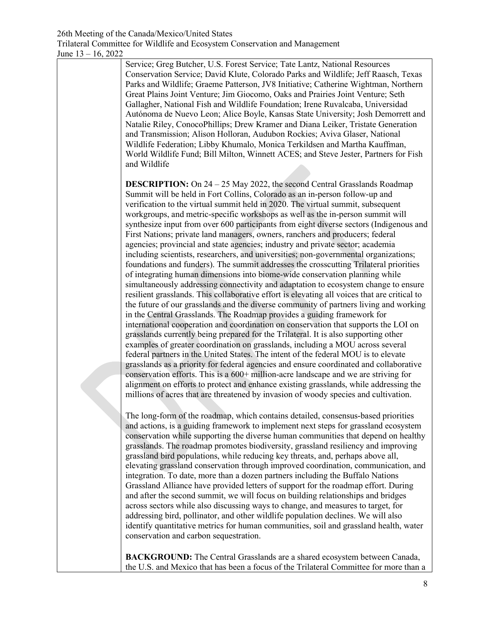Service; Greg Butcher, U.S. Forest Service; Tate Lantz, National Resources Conservation Service; David Klute, Colorado Parks and Wildlife; Jeff Raasch, Texas Parks and Wildlife; Graeme Patterson, JV8 Initiative; Catherine Wightman, Northern Great Plains Joint Venture; Jim Giocomo, Oaks and Prairies Joint Venture; Seth Gallagher, National Fish and Wildlife Foundation; Irene Ruvalcaba, Universidad Autónoma de Nuevo Leon; Alice Boyle, Kansas State University; Josh Demorrett and Natalie Riley, ConocoPhillips; Drew Kramer and Diana Leiker, Tristate Generation and Transmission; Alison Holloran, Audubon Rockies; Aviva Glaser, National Wildlife Federation; Libby Khumalo, Monica Terkildsen and Martha Kauffman, World Wildlife Fund; Bill Milton, Winnett ACES; and Steve Jester, Partners for Fish and Wildlife

**DESCRIPTION:** On 24 – 25 May 2022, the second Central Grasslands Roadmap Summit will be held in Fort Collins, Colorado as an in-person follow-up and verification to the virtual summit held in 2020. The virtual summit, subsequent workgroups, and metric-specific workshops as well as the in-person summit will synthesize input from over 600 participants from eight diverse sectors (Indigenous and First Nations; private land managers, owners, ranchers and producers; federal agencies; provincial and state agencies; industry and private sector; academia including scientists, researchers, and universities; non-governmental organizations; foundations and funders). The summit addresses the crosscutting Trilateral priorities of integrating human dimensions into biome-wide conservation planning while simultaneously addressing connectivity and adaptation to ecosystem change to ensure resilient grasslands. This collaborative effort is elevating all voices that are critical to the future of our grasslands and the diverse community of partners living and working in the Central Grasslands. The Roadmap provides a guiding framework for international cooperation and coordination on conservation that supports the LOI on grasslands currently being prepared for the Trilateral. It is also supporting other examples of greater coordination on grasslands, including a MOU across several federal partners in the United States. The intent of the federal MOU is to elevate grasslands as a priority for federal agencies and ensure coordinated and collaborative conservation efforts. This is a 600+ million-acre landscape and we are striving for alignment on efforts to protect and enhance existing grasslands, while addressing the millions of acres that are threatened by invasion of woody species and cultivation.

The long-form of the roadmap, which contains detailed, consensus-based priorities and actions, is a guiding framework to implement next steps for grassland ecosystem conservation while supporting the diverse human communities that depend on healthy grasslands. The roadmap promotes biodiversity, grassland resiliency and improving grassland bird populations, while reducing key threats, and, perhaps above all, elevating grassland conservation through improved coordination, communication, and integration. To date, more than a dozen partners including the Buffalo Nations Grassland Alliance have provided letters of support for the roadmap effort. During and after the second summit, we will focus on building relationships and bridges across sectors while also discussing ways to change, and measures to target, for addressing bird, pollinator, and other wildlife population declines. We will also identify quantitative metrics for human communities, soil and grassland health, water conservation and carbon sequestration.

**BACKGROUND:** The Central Grasslands are a shared ecosystem between Canada, the U.S. and Mexico that has been a focus of the Trilateral Committee for more than a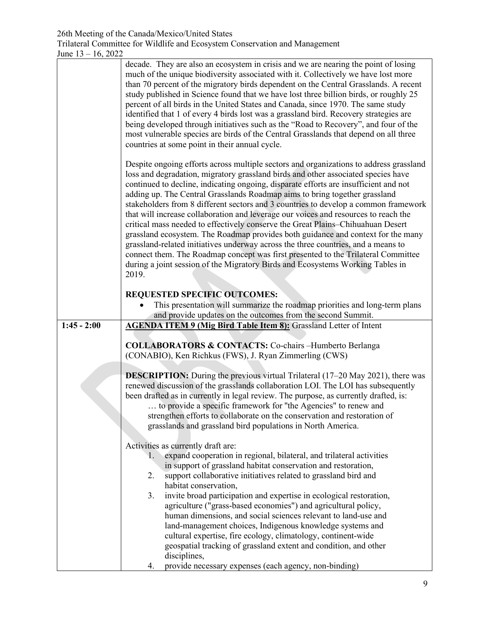|               | decade. They are also an ecosystem in crisis and we are nearing the point of losing<br>much of the unique biodiversity associated with it. Collectively we have lost more<br>than 70 percent of the migratory birds dependent on the Central Grasslands. A recent<br>study published in Science found that we have lost three billion birds, or roughly 25<br>percent of all birds in the United States and Canada, since 1970. The same study<br>identified that 1 of every 4 birds lost was a grassland bird. Recovery strategies are<br>being developed through initiatives such as the "Road to Recovery", and four of the<br>most vulnerable species are birds of the Central Grasslands that depend on all three<br>countries at some point in their annual cycle.                                                                                                                                                                                                    |
|---------------|-----------------------------------------------------------------------------------------------------------------------------------------------------------------------------------------------------------------------------------------------------------------------------------------------------------------------------------------------------------------------------------------------------------------------------------------------------------------------------------------------------------------------------------------------------------------------------------------------------------------------------------------------------------------------------------------------------------------------------------------------------------------------------------------------------------------------------------------------------------------------------------------------------------------------------------------------------------------------------|
|               | Despite ongoing efforts across multiple sectors and organizations to address grassland<br>loss and degradation, migratory grassland birds and other associated species have<br>continued to decline, indicating ongoing, disparate efforts are insufficient and not<br>adding up. The Central Grasslands Roadmap aims to bring together grassland<br>stakeholders from 8 different sectors and 3 countries to develop a common framework<br>that will increase collaboration and leverage our voices and resources to reach the<br>critical mass needed to effectively conserve the Great Plains–Chihuahuan Desert<br>grassland ecosystem. The Roadmap provides both guidance and context for the many<br>grassland-related initiatives underway across the three countries, and a means to<br>connect them. The Roadmap concept was first presented to the Trilateral Committee<br>during a joint session of the Migratory Birds and Ecosystems Working Tables in<br>2019. |
|               | <b>REQUESTED SPECIFIC OUTCOMES:</b>                                                                                                                                                                                                                                                                                                                                                                                                                                                                                                                                                                                                                                                                                                                                                                                                                                                                                                                                         |
|               | This presentation will summarize the roadmap priorities and long-term plans                                                                                                                                                                                                                                                                                                                                                                                                                                                                                                                                                                                                                                                                                                                                                                                                                                                                                                 |
|               | and provide updates on the outcomes from the second Summit.                                                                                                                                                                                                                                                                                                                                                                                                                                                                                                                                                                                                                                                                                                                                                                                                                                                                                                                 |
| $1:45 - 2:00$ | <b>AGENDA ITEM 9 (Mig Bird Table Item 8):</b> Grassland Letter of Intent                                                                                                                                                                                                                                                                                                                                                                                                                                                                                                                                                                                                                                                                                                                                                                                                                                                                                                    |
|               | <b>COLLABORATORS &amp; CONTACTS:</b> Co-chairs -Humberto Berlanga<br>(CONABIO), Ken Richkus (FWS), J. Ryan Zimmerling (CWS)                                                                                                                                                                                                                                                                                                                                                                                                                                                                                                                                                                                                                                                                                                                                                                                                                                                 |
|               | <b>DESCRIPTION:</b> During the previous virtual Trilateral (17-20 May 2021), there was<br>renewed discussion of the grasslands collaboration LOI. The LOI has subsequently<br>been drafted as in currently in legal review. The purpose, as currently drafted, is:<br>to provide a specific framework for "the Agencies" to renew and<br>strengthen efforts to collaborate on the conservation and restoration of<br>grasslands and grassland bird populations in North America.                                                                                                                                                                                                                                                                                                                                                                                                                                                                                            |
|               | Activities as currently draft are:                                                                                                                                                                                                                                                                                                                                                                                                                                                                                                                                                                                                                                                                                                                                                                                                                                                                                                                                          |
|               | expand cooperation in regional, bilateral, and trilateral activities<br>$\mathbf{1}$ .<br>in support of grassland habitat conservation and restoration,<br>2.<br>support collaborative initiatives related to grassland bird and<br>habitat conservation,                                                                                                                                                                                                                                                                                                                                                                                                                                                                                                                                                                                                                                                                                                                   |
|               | invite broad participation and expertise in ecological restoration,<br>3.<br>agriculture ("grass-based economies") and agricultural policy,<br>human dimensions, and social sciences relevant to land-use and<br>land-management choices, Indigenous knowledge systems and<br>cultural expertise, fire ecology, climatology, continent-wide<br>geospatial tracking of grassland extent and condition, and other                                                                                                                                                                                                                                                                                                                                                                                                                                                                                                                                                             |
|               | disciplines,<br>provide necessary expenses (each agency, non-binding)<br>4.                                                                                                                                                                                                                                                                                                                                                                                                                                                                                                                                                                                                                                                                                                                                                                                                                                                                                                 |
|               |                                                                                                                                                                                                                                                                                                                                                                                                                                                                                                                                                                                                                                                                                                                                                                                                                                                                                                                                                                             |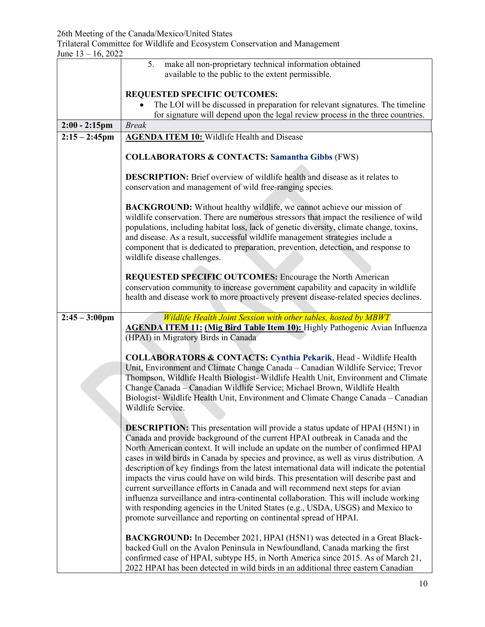Trilateral Committee for Wildlife and Ecosystem Conservation and Management June 13 – 16, 2022

| JUIL 19 = 10, 2022      |                                                                                                                                                                                                                                                                                                                                                                                                                                                                                                                                                                                                                                                                                                                                                                                                                                                                              |
|-------------------------|------------------------------------------------------------------------------------------------------------------------------------------------------------------------------------------------------------------------------------------------------------------------------------------------------------------------------------------------------------------------------------------------------------------------------------------------------------------------------------------------------------------------------------------------------------------------------------------------------------------------------------------------------------------------------------------------------------------------------------------------------------------------------------------------------------------------------------------------------------------------------|
|                         | make all non-proprietary technical information obtained<br>5.<br>available to the public to the extent permissible.                                                                                                                                                                                                                                                                                                                                                                                                                                                                                                                                                                                                                                                                                                                                                          |
|                         |                                                                                                                                                                                                                                                                                                                                                                                                                                                                                                                                                                                                                                                                                                                                                                                                                                                                              |
|                         | <b>REQUESTED SPECIFIC OUTCOMES:</b>                                                                                                                                                                                                                                                                                                                                                                                                                                                                                                                                                                                                                                                                                                                                                                                                                                          |
|                         | The LOI will be discussed in preparation for relevant signatures. The timeline<br>for signature will depend upon the legal review process in the three countries.                                                                                                                                                                                                                                                                                                                                                                                                                                                                                                                                                                                                                                                                                                            |
| $2:00 - 2:15$ pm        | <b>Break</b>                                                                                                                                                                                                                                                                                                                                                                                                                                                                                                                                                                                                                                                                                                                                                                                                                                                                 |
| $2:15 - 2:45$ pm        | <b>AGENDA ITEM 10:</b> Wildlife Health and Disease                                                                                                                                                                                                                                                                                                                                                                                                                                                                                                                                                                                                                                                                                                                                                                                                                           |
|                         | <b>COLLABORATORS &amp; CONTACTS: Samantha Gibbs (FWS)</b>                                                                                                                                                                                                                                                                                                                                                                                                                                                                                                                                                                                                                                                                                                                                                                                                                    |
|                         | <b>DESCRIPTION:</b> Brief overview of wildlife health and disease as it relates to<br>conservation and management of wild free-ranging species.                                                                                                                                                                                                                                                                                                                                                                                                                                                                                                                                                                                                                                                                                                                              |
|                         | <b>BACKGROUND:</b> Without healthy wildlife, we cannot achieve our mission of<br>wildlife conservation. There are numerous stressors that impact the resilience of wild<br>populations, including habitat loss, lack of genetic diversity, climate change, toxins,<br>and disease. As a result, successful wildlife management strategies include a<br>component that is dedicated to preparation, prevention, detection, and response to<br>wildlife disease challenges.                                                                                                                                                                                                                                                                                                                                                                                                    |
|                         | <b>REQUESTED SPECIFIC OUTCOMES:</b> Encourage the North American<br>conservation community to increase government capability and capacity in wildlife<br>health and disease work to more proactively prevent disease-related species declines.                                                                                                                                                                                                                                                                                                                                                                                                                                                                                                                                                                                                                               |
| $2:45 - 3:00 \text{pm}$ | Wildlife Health Joint Session with other tables, hosted by MBWT                                                                                                                                                                                                                                                                                                                                                                                                                                                                                                                                                                                                                                                                                                                                                                                                              |
|                         | <b>AGENDA ITEM 11: (Mig Bird Table Item 10):</b> Highly Pathogenic Avian Influenza<br>(HPAI) in Migratory Birds in Canada                                                                                                                                                                                                                                                                                                                                                                                                                                                                                                                                                                                                                                                                                                                                                    |
|                         | <b>COLLABORATORS &amp; CONTACTS: Cynthia Pekarik, Head - Wildlife Health</b><br>Unit, Environment and Climate Change Canada - Canadian Wildlife Service; Trevor<br>Thompson, Wildlife Health Biologist- Wildlife Health Unit, Environment and Climate<br>Change Canada - Canadian Wildlife Service; Michael Brown, Wildlife Health<br>Biologist-Wildlife Health Unit, Environment and Climate Change Canada - Canadian<br>Wildlife Service.                                                                                                                                                                                                                                                                                                                                                                                                                                  |
|                         | <b>DESCRIPTION:</b> This presentation will provide a status update of HPAI (H5N1) in<br>Canada and provide background of the current HPAI outbreak in Canada and the<br>North American context. It will include an update on the number of confirmed HPAI<br>cases in wild birds in Canada by species and province, as well as virus distribution. A<br>description of key findings from the latest international data will indicate the potential<br>impacts the virus could have on wild birds. This presentation will describe past and<br>current surveillance efforts in Canada and will recommend next steps for avian<br>influenza surveillance and intra-continental collaboration. This will include working<br>with responding agencies in the United States (e.g., USDA, USGS) and Mexico to<br>promote surveillance and reporting on continental spread of HPAI. |
|                         | BACKGROUND: In December 2021, HPAI (H5N1) was detected in a Great Black-<br>backed Gull on the Avalon Peninsula in Newfoundland, Canada marking the first<br>confirmed case of HPAI, subtype H5, in North America since 2015. As of March 21,                                                                                                                                                                                                                                                                                                                                                                                                                                                                                                                                                                                                                                |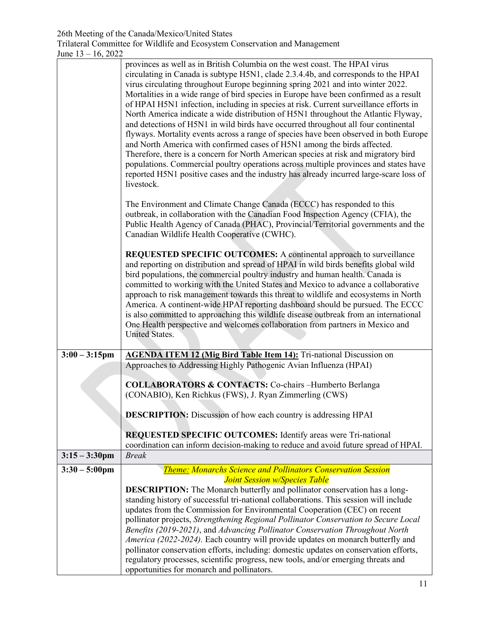|                                             | <b>Theme: Monarchs Science and Pollinators Conservation Session</b><br><b>Joint Session w/Species Table</b><br><b>DESCRIPTION:</b> The Monarch butterfly and pollinator conservation has a long-<br>standing history of successful tri-national collaborations. This session will include                                                                                                                                                                                                                                                                                                                                                                                                                                                                                                                                                                                                                                                                                                                                                                                     |
|---------------------------------------------|-------------------------------------------------------------------------------------------------------------------------------------------------------------------------------------------------------------------------------------------------------------------------------------------------------------------------------------------------------------------------------------------------------------------------------------------------------------------------------------------------------------------------------------------------------------------------------------------------------------------------------------------------------------------------------------------------------------------------------------------------------------------------------------------------------------------------------------------------------------------------------------------------------------------------------------------------------------------------------------------------------------------------------------------------------------------------------|
|                                             |                                                                                                                                                                                                                                                                                                                                                                                                                                                                                                                                                                                                                                                                                                                                                                                                                                                                                                                                                                                                                                                                               |
| $3:15 - 3:30$ pm<br>$3:30 - 5:00 \text{pm}$ |                                                                                                                                                                                                                                                                                                                                                                                                                                                                                                                                                                                                                                                                                                                                                                                                                                                                                                                                                                                                                                                                               |
|                                             | <b>REQUESTED SPECIFIC OUTCOMES:</b> Identify areas were Tri-national<br>coordination can inform decision-making to reduce and avoid future spread of HPAI.<br><b>Break</b>                                                                                                                                                                                                                                                                                                                                                                                                                                                                                                                                                                                                                                                                                                                                                                                                                                                                                                    |
|                                             | <b>DESCRIPTION:</b> Discussion of how each country is addressing HPAI                                                                                                                                                                                                                                                                                                                                                                                                                                                                                                                                                                                                                                                                                                                                                                                                                                                                                                                                                                                                         |
|                                             | <b>COLLABORATORS &amp; CONTACTS:</b> Co-chairs -Humberto Berlanga<br>(CONABIO), Ken Richkus (FWS), J. Ryan Zimmerling (CWS)                                                                                                                                                                                                                                                                                                                                                                                                                                                                                                                                                                                                                                                                                                                                                                                                                                                                                                                                                   |
|                                             | Approaches to Addressing Highly Pathogenic Avian Influenza (HPAI)                                                                                                                                                                                                                                                                                                                                                                                                                                                                                                                                                                                                                                                                                                                                                                                                                                                                                                                                                                                                             |
| $3:00 - 3:15$ pm                            | committed to working with the United States and Mexico to advance a collaborative<br>approach to risk management towards this threat to wildlife and ecosystems in North<br>America. A continent-wide HPAI reporting dashboard should be pursued. The ECCC<br>is also committed to approaching this wildlife disease outbreak from an international<br>One Health perspective and welcomes collaboration from partners in Mexico and<br>United States.<br><b>AGENDA ITEM 12 (Mig Bird Table Item 14):</b> Tri-national Discussion on                                                                                                                                                                                                                                                                                                                                                                                                                                                                                                                                          |
|                                             | REQUESTED SPECIFIC OUTCOMES: A continental approach to surveillance<br>and reporting on distribution and spread of HPAI in wild birds benefits global wild<br>bird populations, the commercial poultry industry and human health. Canada is                                                                                                                                                                                                                                                                                                                                                                                                                                                                                                                                                                                                                                                                                                                                                                                                                                   |
|                                             | The Environment and Climate Change Canada (ECCC) has responded to this<br>outbreak, in collaboration with the Canadian Food Inspection Agency (CFIA), the<br>Public Health Agency of Canada (PHAC), Provincial/Territorial governments and the<br>Canadian Wildlife Health Cooperative (CWHC).                                                                                                                                                                                                                                                                                                                                                                                                                                                                                                                                                                                                                                                                                                                                                                                |
|                                             | provinces as well as in British Columbia on the west coast. The HPAI virus<br>circulating in Canada is subtype H5N1, clade 2.3.4.4b, and corresponds to the HPAI<br>virus circulating throughout Europe beginning spring 2021 and into winter 2022.<br>Mortalities in a wide range of bird species in Europe have been confirmed as a result<br>of HPAI H5N1 infection, including in species at risk. Current surveillance efforts in<br>North America indicate a wide distribution of H5N1 throughout the Atlantic Flyway,<br>and detections of H5N1 in wild birds have occurred throughout all four continental<br>flyways. Mortality events across a range of species have been observed in both Europe<br>and North America with confirmed cases of H5N1 among the birds affected.<br>Therefore, there is a concern for North American species at risk and migratory bird<br>populations. Commercial poultry operations across multiple provinces and states have<br>reported H5N1 positive cases and the industry has already incurred large-scare loss of<br>livestock. |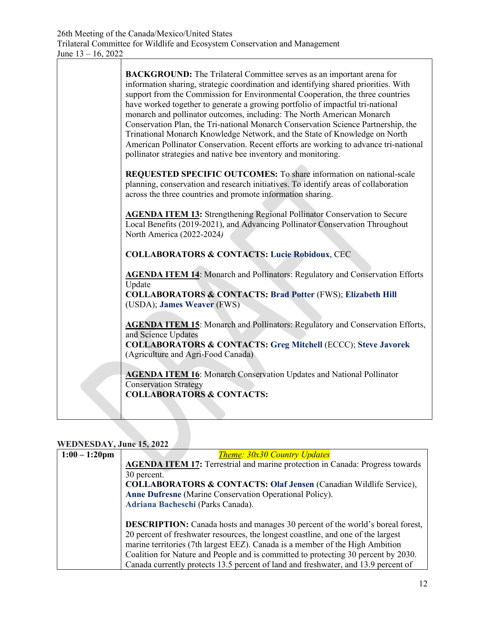| <b>BACKGROUND:</b> The Trilateral Committee serves as an important arena for<br>information sharing, strategic coordination and identifying shared priorities. With<br>support from the Commission for Environmental Cooperation, the three countries<br>have worked together to generate a growing portfolio of impactful tri-national<br>monarch and pollinator outcomes, including: The North American Monarch<br>Conservation Plan, the Tri-national Monarch Conservation Science Partnership, the<br>Trinational Monarch Knowledge Network, and the State of Knowledge on North<br>American Pollinator Conservation. Recent efforts are working to advance tri-national<br>pollinator strategies and native bee inventory and monitoring. |
|------------------------------------------------------------------------------------------------------------------------------------------------------------------------------------------------------------------------------------------------------------------------------------------------------------------------------------------------------------------------------------------------------------------------------------------------------------------------------------------------------------------------------------------------------------------------------------------------------------------------------------------------------------------------------------------------------------------------------------------------|
| REQUESTED SPECIFIC OUTCOMES: To share information on national-scale<br>planning, conservation and research initiatives. To identify areas of collaboration<br>across the three countries and promote information sharing.                                                                                                                                                                                                                                                                                                                                                                                                                                                                                                                      |
| <b>AGENDA ITEM 13:</b> Strengthening Regional Pollinator Conservation to Secure<br>Local Benefits (2019-2021), and Advancing Pollinator Conservation Throughout<br>North America (2022-2024)                                                                                                                                                                                                                                                                                                                                                                                                                                                                                                                                                   |
| <b>COLLABORATORS &amp; CONTACTS: Lucie Robidoux, CEC</b>                                                                                                                                                                                                                                                                                                                                                                                                                                                                                                                                                                                                                                                                                       |
| <b>AGENDA ITEM 14:</b> Monarch and Pollinators: Regulatory and Conservation Efforts<br>Update<br><b>COLLABORATORS &amp; CONTACTS: Brad Potter (FWS); Elizabeth Hill</b><br>(USDA); James Weaver (FWS)                                                                                                                                                                                                                                                                                                                                                                                                                                                                                                                                          |
| <b>AGENDA ITEM 15:</b> Monarch and Pollinators: Regulatory and Conservation Efforts,<br>and Science Updates<br><b>COLLABORATORS &amp; CONTACTS: Greg Mitchell (ECCC); Steve Javorek</b><br>(Agriculture and Agri-Food Canada)                                                                                                                                                                                                                                                                                                                                                                                                                                                                                                                  |
| <b>AGENDA ITEM 16:</b> Monarch Conservation Updates and National Pollinator<br><b>Conservation Strategy</b><br><b>COLLABORATORS &amp; CONTACTS:</b>                                                                                                                                                                                                                                                                                                                                                                                                                                                                                                                                                                                            |

# **WEDNESDAY, June 15, 2022**

| $1:00 - 1:20$ pm | <b>Theme: 30x30 Country Updates</b>                                                   |
|------------------|---------------------------------------------------------------------------------------|
|                  | <b>AGENDA ITEM 17:</b> Terrestrial and marine protection in Canada: Progress towards  |
|                  | 30 percent.                                                                           |
|                  | <b>COLLABORATORS &amp; CONTACTS: Olaf Jensen (Canadian Wildlife Service),</b>         |
|                  | <b>Anne Dufresne</b> (Marine Conservation Operational Policy).                        |
|                  | Adriana Bacheschi (Parks Canada).                                                     |
|                  |                                                                                       |
|                  | <b>DESCRIPTION:</b> Canada hosts and manages 30 percent of the world's boreal forest, |
|                  | 20 percent of freshwater resources, the longest coastline, and one of the largest     |
|                  | marine territories (7th largest EEZ). Canada is a member of the High Ambition         |
|                  | Coalition for Nature and People and is committed to protecting 30 percent by 2030.    |
|                  | Canada currently protects 13.5 percent of land and freshwater, and 13.9 percent of    |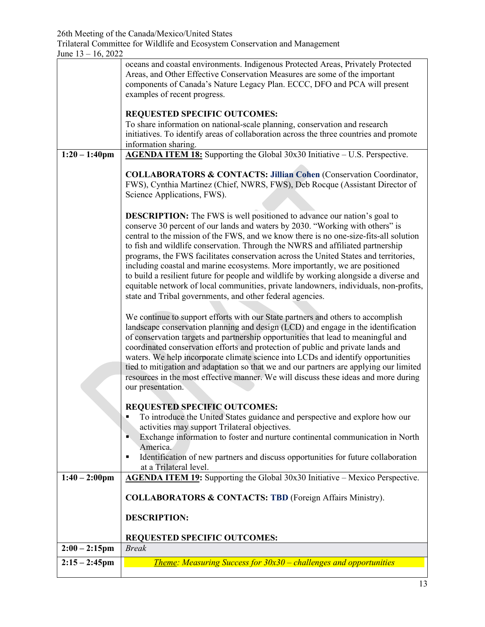Trilateral Committee for Wildlife and Ecosystem Conservation and Management

|                  | oceans and coastal environments. Indigenous Protected Areas, Privately Protected                                                                                           |
|------------------|----------------------------------------------------------------------------------------------------------------------------------------------------------------------------|
|                  | Areas, and Other Effective Conservation Measures are some of the important<br>components of Canada's Nature Legacy Plan. ECCC, DFO and PCA will present                    |
|                  | examples of recent progress.                                                                                                                                               |
|                  |                                                                                                                                                                            |
|                  | <b>REQUESTED SPECIFIC OUTCOMES:</b>                                                                                                                                        |
|                  | To share information on national-scale planning, conservation and research<br>initiatives. To identify areas of collaboration across the three countries and promote       |
|                  | information sharing.                                                                                                                                                       |
| $1:20 - 1:40$ pm | AGENDA ITEM 18: Supporting the Global 30x30 Initiative - U.S. Perspective.                                                                                                 |
|                  |                                                                                                                                                                            |
|                  | <b>COLLABORATORS &amp; CONTACTS: Jillian Cohen (Conservation Coordinator,</b><br>FWS), Cynthia Martinez (Chief, NWRS, FWS), Deb Rocque (Assistant Director of              |
|                  | Science Applications, FWS).                                                                                                                                                |
|                  |                                                                                                                                                                            |
|                  | <b>DESCRIPTION:</b> The FWS is well positioned to advance our nation's goal to                                                                                             |
|                  | conserve 30 percent of our lands and waters by 2030. "Working with others" is                                                                                              |
|                  | central to the mission of the FWS, and we know there is no one-size-fits-all solution<br>to fish and wildlife conservation. Through the NWRS and affiliated partnership    |
|                  | programs, the FWS facilitates conservation across the United States and territories,                                                                                       |
|                  | including coastal and marine ecosystems. More importantly, we are positioned                                                                                               |
|                  | to build a resilient future for people and wildlife by working alongside a diverse and                                                                                     |
|                  | equitable network of local communities, private landowners, individuals, non-profits,                                                                                      |
|                  | state and Tribal governments, and other federal agencies.                                                                                                                  |
|                  | We continue to support efforts with our State partners and others to accomplish                                                                                            |
|                  | landscape conservation planning and design (LCD) and engage in the identification                                                                                          |
|                  | of conservation targets and partnership opportunities that lead to meaningful and                                                                                          |
|                  | coordinated conservation efforts and protection of public and private lands and                                                                                            |
|                  | waters. We help incorporate climate science into LCDs and identify opportunities<br>tied to mitigation and adaptation so that we and our partners are applying our limited |
|                  | resources in the most effective manner. We will discuss these ideas and more during                                                                                        |
|                  | our presentation.                                                                                                                                                          |
|                  |                                                                                                                                                                            |
|                  | REQUESTED SPECIFIC OUTCOMES:<br>To introduce the United States guidance and perspective and explore how our<br>$\blacksquare$                                              |
|                  | activities may support Trilateral objectives.                                                                                                                              |
|                  | Exchange information to foster and nurture continental communication in North<br>н.                                                                                        |
|                  | America.                                                                                                                                                                   |
|                  | Identification of new partners and discuss opportunities for future collaboration<br>٠                                                                                     |
| $1:40 - 2:00$ pm | at a Trilateral level.<br>AGENDA ITEM 19: Supporting the Global 30x30 Initiative - Mexico Perspective.                                                                     |
|                  |                                                                                                                                                                            |
|                  | <b>COLLABORATORS &amp; CONTACTS: TBD</b> (Foreign Affairs Ministry).                                                                                                       |
|                  |                                                                                                                                                                            |
|                  | <b>DESCRIPTION:</b>                                                                                                                                                        |
|                  | <b>REQUESTED SPECIFIC OUTCOMES:</b>                                                                                                                                        |
| $2:00 - 2:15$ pm | <b>Break</b>                                                                                                                                                               |
| $2:15 - 2:45$ pm | <b>Theme: Measuring Success for 30x30 - challenges and opportunities</b>                                                                                                   |
|                  |                                                                                                                                                                            |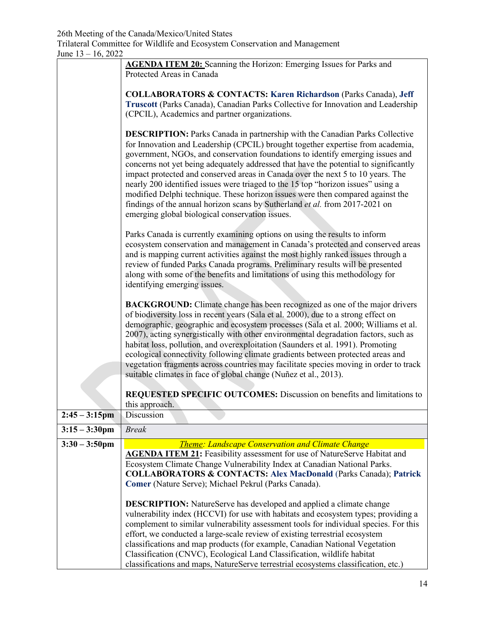| JUIL 19 = 10, 2022 |                                                                                       |
|--------------------|---------------------------------------------------------------------------------------|
|                    | <b>AGENDA ITEM 20:</b> Scanning the Horizon: Emerging Issues for Parks and            |
|                    | Protected Areas in Canada                                                             |
|                    |                                                                                       |
|                    | <b>COLLABORATORS &amp; CONTACTS: Karen Richardson (Parks Canada), Jeff</b>            |
|                    | Truscott (Parks Canada), Canadian Parks Collective for Innovation and Leadership      |
|                    | (CPCIL), Academics and partner organizations.                                         |
|                    |                                                                                       |
|                    | <b>DESCRIPTION:</b> Parks Canada in partnership with the Canadian Parks Collective    |
|                    | for Innovation and Leadership (CPCIL) brought together expertise from academia,       |
|                    | government, NGOs, and conservation foundations to identify emerging issues and        |
|                    | concerns not yet being adequately addressed that have the potential to significantly  |
|                    | impact protected and conserved areas in Canada over the next 5 to 10 years. The       |
|                    | nearly 200 identified issues were triaged to the 15 top "horizon issues" using a      |
|                    | modified Delphi technique. These horizon issues were then compared against the        |
|                    | findings of the annual horizon scans by Sutherland et al. from 2017-2021 on           |
|                    | emerging global biological conservation issues.                                       |
|                    |                                                                                       |
|                    | Parks Canada is currently examining options on using the results to inform            |
|                    | ecosystem conservation and management in Canada's protected and conserved areas       |
|                    | and is mapping current activities against the most highly ranked issues through a     |
|                    | review of funded Parks Canada programs. Preliminary results will be presented         |
|                    | along with some of the benefits and limitations of using this methodology for         |
|                    | identifying emerging issues.                                                          |
|                    | <b>BACKGROUND:</b> Climate change has been recognized as one of the major drivers     |
|                    | of biodiversity loss in recent years (Sala et al. 2000), due to a strong effect on    |
|                    | demographic, geographic and ecosystem processes (Sala et al. 2000; Williams et al.    |
|                    | 2007), acting synergistically with other environmental degradation factors, such as   |
|                    | habitat loss, pollution, and overexploitation (Saunders et al. 1991). Promoting       |
|                    | ecological connectivity following climate gradients between protected areas and       |
|                    | vegetation fragments across countries may facilitate species moving in order to track |
|                    | suitable climates in face of global change (Nuñez et al., 2013).                      |
|                    |                                                                                       |
|                    | REQUESTED SPECIFIC OUTCOMES: Discussion on benefits and limitations to                |
|                    | this approach.                                                                        |
| $2:45 - 3:15$ pm   | Discussion                                                                            |
| $3:15 - 3:30$ pm   | <b>Break</b>                                                                          |
|                    |                                                                                       |
| $3:30 - 3:50$ pm   | <b>Theme: Landscape Conservation and Climate Change</b>                               |
|                    | <b>AGENDA ITEM 21:</b> Feasibility assessment for use of NatureServe Habitat and      |
|                    | Ecosystem Climate Change Vulnerability Index at Canadian National Parks.              |
|                    | <b>COLLABORATORS &amp; CONTACTS: Alex MacDonald (Parks Canada); Patrick</b>           |
|                    | Comer (Nature Serve); Michael Pekrul (Parks Canada).                                  |
|                    |                                                                                       |
|                    | <b>DESCRIPTION:</b> NatureServe has developed and applied a climate change            |
|                    | vulnerability index (HCCVI) for use with habitats and ecosystem types; providing a    |
|                    | complement to similar vulnerability assessment tools for individual species. For this |
|                    | effort, we conducted a large-scale review of existing terrestrial ecosystem           |
|                    | classifications and map products (for example, Canadian National Vegetation           |
|                    | Classification (CNVC), Ecological Land Classification, wildlife habitat               |
|                    | classifications and maps, NatureServe terrestrial ecosystems classification, etc.)    |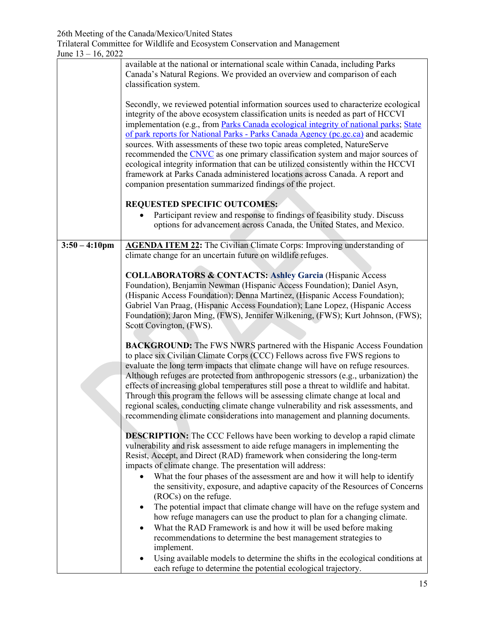|                         | available at the national or international scale within Canada, including Parks<br>Canada's Natural Regions. We provided an overview and comparison of each<br>classification system.                                                                                                                                                                                                                                                                                                                                                                                                                                                                                                                                                                    |
|-------------------------|----------------------------------------------------------------------------------------------------------------------------------------------------------------------------------------------------------------------------------------------------------------------------------------------------------------------------------------------------------------------------------------------------------------------------------------------------------------------------------------------------------------------------------------------------------------------------------------------------------------------------------------------------------------------------------------------------------------------------------------------------------|
|                         | Secondly, we reviewed potential information sources used to characterize ecological<br>integrity of the above ecosystem classification units is needed as part of HCCVI<br>implementation (e.g., from Parks Canada ecological integrity of national parks, State<br>of park reports for National Parks - Parks Canada Agency (pc.gc.ca) and academic<br>sources. With assessments of these two topic areas completed, NatureServe<br>recommended the CNVC as one primary classification system and major sources of<br>ecological integrity information that can be utilized consistently within the HCCVI<br>framework at Parks Canada administered locations across Canada. A report and<br>companion presentation summarized findings of the project. |
|                         | <b>REQUESTED SPECIFIC OUTCOMES:</b>                                                                                                                                                                                                                                                                                                                                                                                                                                                                                                                                                                                                                                                                                                                      |
|                         | Participant review and response to findings of feasibility study. Discuss<br>options for advancement across Canada, the United States, and Mexico.                                                                                                                                                                                                                                                                                                                                                                                                                                                                                                                                                                                                       |
| $3:50 - 4:10 \text{pm}$ | <b>AGENDA ITEM 22:</b> The Civilian Climate Corps: Improving understanding of                                                                                                                                                                                                                                                                                                                                                                                                                                                                                                                                                                                                                                                                            |
|                         | climate change for an uncertain future on wildlife refuges.                                                                                                                                                                                                                                                                                                                                                                                                                                                                                                                                                                                                                                                                                              |
|                         | <b>COLLABORATORS &amp; CONTACTS: Ashley Garcia (Hispanic Access</b><br>Foundation), Benjamin Newman (Hispanic Access Foundation); Daniel Asyn,<br>(Hispanic Access Foundation); Denna Martinez, (Hispanic Access Foundation);<br>Gabriel Van Praag, (Hispanic Access Foundation); Lane Lopez, (Hispanic Access<br>Foundation); Jaron Ming, (FWS), Jennifer Wilkening, (FWS); Kurt Johnson, (FWS);<br>Scott Covington, (FWS).                                                                                                                                                                                                                                                                                                                             |
|                         |                                                                                                                                                                                                                                                                                                                                                                                                                                                                                                                                                                                                                                                                                                                                                          |
|                         | <b>BACKGROUND:</b> The FWS NWRS partnered with the Hispanic Access Foundation<br>to place six Civilian Climate Corps (CCC) Fellows across five FWS regions to<br>evaluate the long term impacts that climate change will have on refuge resources.<br>Although refuges are protected from anthropogenic stressors (e.g., urbanization) the<br>effects of increasing global temperatures still pose a threat to wildlife and habitat.<br>Through this program the fellows will be assessing climate change at local and<br>regional scales, conducting climate change vulnerability and risk assessments, and<br>recommending climate considerations into management and planning documents.                                                              |
|                         | <b>DESCRIPTION:</b> The CCC Fellows have been working to develop a rapid climate<br>vulnerability and risk assessment to aide refuge managers in implementing the<br>Resist, Accept, and Direct (RAD) framework when considering the long-term<br>impacts of climate change. The presentation will address:                                                                                                                                                                                                                                                                                                                                                                                                                                              |
|                         | What the four phases of the assessment are and how it will help to identify<br>the sensitivity, exposure, and adaptive capacity of the Resources of Concerns<br>(ROCs) on the refuge.                                                                                                                                                                                                                                                                                                                                                                                                                                                                                                                                                                    |
|                         | The potential impact that climate change will have on the refuge system and<br>٠                                                                                                                                                                                                                                                                                                                                                                                                                                                                                                                                                                                                                                                                         |
|                         | how refuge managers can use the product to plan for a changing climate.<br>What the RAD Framework is and how it will be used before making<br>٠                                                                                                                                                                                                                                                                                                                                                                                                                                                                                                                                                                                                          |
|                         | recommendations to determine the best management strategies to<br>implement.                                                                                                                                                                                                                                                                                                                                                                                                                                                                                                                                                                                                                                                                             |
|                         | Using available models to determine the shifts in the ecological conditions at<br>each refuge to determine the potential ecological trajectory.                                                                                                                                                                                                                                                                                                                                                                                                                                                                                                                                                                                                          |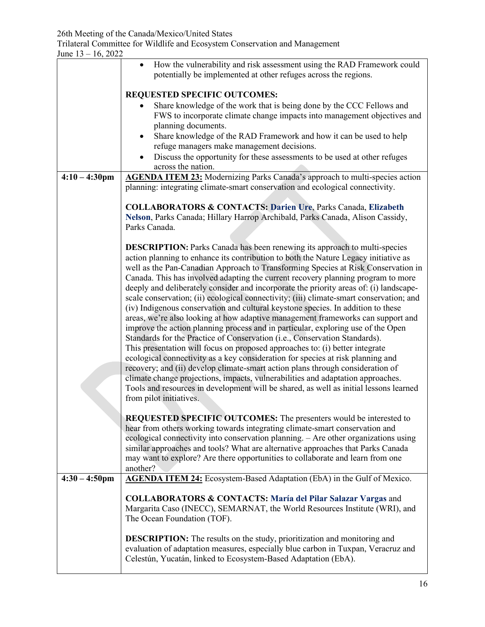|                         | How the vulnerability and risk assessment using the RAD Framework could<br>potentially be implemented at other refuges across the regions.                                 |
|-------------------------|----------------------------------------------------------------------------------------------------------------------------------------------------------------------------|
|                         | REQUESTED SPECIFIC OUTCOMES:                                                                                                                                               |
|                         | Share knowledge of the work that is being done by the CCC Fellows and                                                                                                      |
|                         | FWS to incorporate climate change impacts into management objectives and                                                                                                   |
|                         | planning documents.<br>Share knowledge of the RAD Framework and how it can be used to help                                                                                 |
|                         | refuge managers make management decisions.                                                                                                                                 |
|                         | Discuss the opportunity for these assessments to be used at other refuges<br>across the nation.                                                                            |
| $4:10 - 4:30$ pm        | <b>AGENDA ITEM 23:</b> Modernizing Parks Canada's approach to multi-species action                                                                                         |
|                         | planning: integrating climate-smart conservation and ecological connectivity.                                                                                              |
|                         | <b>COLLABORATORS &amp; CONTACTS: Darien Ure, Parks Canada, Elizabeth</b><br>Nelson, Parks Canada; Hillary Harrop Archibald, Parks Canada, Alison Cassidy,<br>Parks Canada. |
|                         |                                                                                                                                                                            |
|                         | <b>DESCRIPTION:</b> Parks Canada has been renewing its approach to multi-species<br>action planning to enhance its contribution to both the Nature Legacy initiative as    |
|                         | well as the Pan-Canadian Approach to Transforming Species at Risk Conservation in                                                                                          |
|                         | Canada. This has involved adapting the current recovery planning program to more<br>deeply and deliberately consider and incorporate the priority areas of: (i) landscape- |
|                         | scale conservation; (ii) ecological connectivity; (iii) climate-smart conservation; and                                                                                    |
|                         | (iv) Indigenous conservation and cultural keystone species. In addition to these                                                                                           |
|                         | areas, we're also looking at how adaptive management frameworks can support and<br>improve the action planning process and in particular, exploring use of the Open        |
|                         | Standards for the Practice of Conservation (i.e., Conservation Standards).                                                                                                 |
|                         | This presentation will focus on proposed approaches to: (i) better integrate                                                                                               |
|                         | ecological connectivity as a key consideration for species at risk planning and<br>recovery; and (ii) develop climate-smart action plans through consideration of          |
|                         | climate change projections, impacts, vulnerabilities and adaptation approaches.                                                                                            |
|                         | Tools and resources in development will be shared, as well as initial lessons learned                                                                                      |
|                         | from pilot initiatives.                                                                                                                                                    |
|                         | <b>REQUESTED SPECIFIC OUTCOMES:</b> The presenters would be interested to                                                                                                  |
|                         | hear from others working towards integrating climate-smart conservation and                                                                                                |
|                         | ecological connectivity into conservation planning. - Are other organizations using<br>similar approaches and tools? What are alternative approaches that Parks Canada     |
|                         | may want to explore? Are there opportunities to collaborate and learn from one                                                                                             |
| $4:30 - 4:50 \text{pm}$ | another?                                                                                                                                                                   |
|                         | AGENDA ITEM 24: Ecosystem-Based Adaptation (EbA) in the Gulf of Mexico.                                                                                                    |
|                         | <b>COLLABORATORS &amp; CONTACTS: María del Pilar Salazar Vargas and</b>                                                                                                    |
|                         | Margarita Caso (INECC), SEMARNAT, the World Resources Institute (WRI), and<br>The Ocean Foundation (TOF).                                                                  |
|                         |                                                                                                                                                                            |
|                         | <b>DESCRIPTION:</b> The results on the study, prioritization and monitoring and                                                                                            |
|                         | evaluation of adaptation measures, especially blue carbon in Tuxpan, Veracruz and<br>Celestún, Yucatán, linked to Ecosystem-Based Adaptation (EbA).                        |
|                         |                                                                                                                                                                            |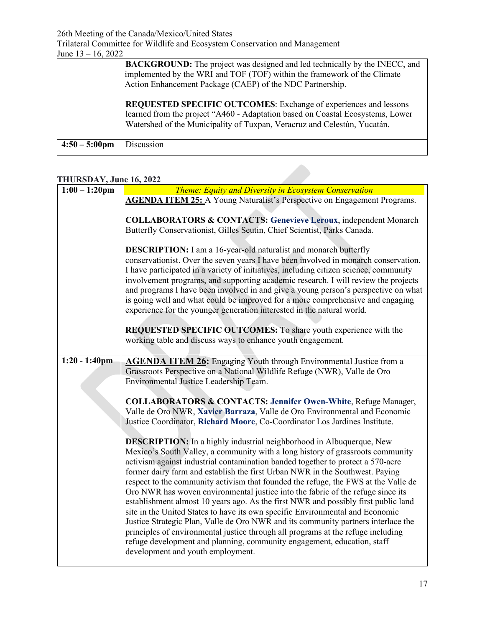26th Meeting of the Canada/Mexico/United States

Trilateral Committee for Wildlife and Ecosystem Conservation and Management

| June $13 - 16$ , 2022 |  |
|-----------------------|--|
|-----------------------|--|

|                         | <b>BACKGROUND:</b> The project was designed and led technically by the INECC, and<br>implemented by the WRI and TOF (TOF) within the framework of the Climate<br>Action Enhancement Package (CAEP) of the NDC Partnership.     |
|-------------------------|--------------------------------------------------------------------------------------------------------------------------------------------------------------------------------------------------------------------------------|
|                         | REQUESTED SPECIFIC OUTCOMES: Exchange of experiences and lessons<br>learned from the project "A460 - Adaptation based on Coastal Ecosystems, Lower<br>Watershed of the Municipality of Tuxpan, Veracruz and Celestún, Yucatán. |
| $4:50 - 5:00 \text{pm}$ | Discussion                                                                                                                                                                                                                     |

## **THURSDAY, June 16, 2022**

| $1:00 - 1:20$ pm | <b>Theme: Equity and Diversity in Ecosystem Conservation</b>                                                                                                                                                                                                                                                                                                                                                                                                                                                                                                                                                                                                                                                                                                                                                                                                                                                                                                              |
|------------------|---------------------------------------------------------------------------------------------------------------------------------------------------------------------------------------------------------------------------------------------------------------------------------------------------------------------------------------------------------------------------------------------------------------------------------------------------------------------------------------------------------------------------------------------------------------------------------------------------------------------------------------------------------------------------------------------------------------------------------------------------------------------------------------------------------------------------------------------------------------------------------------------------------------------------------------------------------------------------|
|                  | <b>AGENDA ITEM 25:</b> A Young Naturalist's Perspective on Engagement Programs.                                                                                                                                                                                                                                                                                                                                                                                                                                                                                                                                                                                                                                                                                                                                                                                                                                                                                           |
|                  |                                                                                                                                                                                                                                                                                                                                                                                                                                                                                                                                                                                                                                                                                                                                                                                                                                                                                                                                                                           |
|                  | <b>COLLABORATORS &amp; CONTACTS: Genevieve Leroux, independent Monarch</b>                                                                                                                                                                                                                                                                                                                                                                                                                                                                                                                                                                                                                                                                                                                                                                                                                                                                                                |
|                  | Butterfly Conservationist, Gilles Seutin, Chief Scientist, Parks Canada.                                                                                                                                                                                                                                                                                                                                                                                                                                                                                                                                                                                                                                                                                                                                                                                                                                                                                                  |
|                  | <b>DESCRIPTION:</b> I am a 16-year-old naturalist and monarch butterfly<br>conservationist. Over the seven years I have been involved in monarch conservation,<br>I have participated in a variety of initiatives, including citizen science, community<br>involvement programs, and supporting academic research. I will review the projects<br>and programs I have been involved in and give a young person's perspective on what<br>is going well and what could be improved for a more comprehensive and engaging<br>experience for the younger generation interested in the natural world.<br>REQUESTED SPECIFIC OUTCOMES: To share youth experience with the<br>working table and discuss ways to enhance youth engagement.                                                                                                                                                                                                                                         |
| $1:20 - 1:40$ pm | <b>AGENDA ITEM 26:</b> Engaging Youth through Environmental Justice from a                                                                                                                                                                                                                                                                                                                                                                                                                                                                                                                                                                                                                                                                                                                                                                                                                                                                                                |
|                  | Grassroots Perspective on a National Wildlife Refuge (NWR), Valle de Oro                                                                                                                                                                                                                                                                                                                                                                                                                                                                                                                                                                                                                                                                                                                                                                                                                                                                                                  |
|                  | Environmental Justice Leadership Team.                                                                                                                                                                                                                                                                                                                                                                                                                                                                                                                                                                                                                                                                                                                                                                                                                                                                                                                                    |
|                  |                                                                                                                                                                                                                                                                                                                                                                                                                                                                                                                                                                                                                                                                                                                                                                                                                                                                                                                                                                           |
|                  | <b>COLLABORATORS &amp; CONTACTS: Jennifer Owen-White, Refuge Manager,</b>                                                                                                                                                                                                                                                                                                                                                                                                                                                                                                                                                                                                                                                                                                                                                                                                                                                                                                 |
|                  | Valle de Oro NWR, Xavier Barraza, Valle de Oro Environmental and Economic                                                                                                                                                                                                                                                                                                                                                                                                                                                                                                                                                                                                                                                                                                                                                                                                                                                                                                 |
|                  | Justice Coordinator, Richard Moore, Co-Coordinator Los Jardines Institute.                                                                                                                                                                                                                                                                                                                                                                                                                                                                                                                                                                                                                                                                                                                                                                                                                                                                                                |
|                  | <b>DESCRIPTION:</b> In a highly industrial neighborhood in Albuquerque, New<br>Mexico's South Valley, a community with a long history of grassroots community<br>activism against industrial contamination banded together to protect a 570-acre<br>former dairy farm and establish the first Urban NWR in the Southwest. Paying<br>respect to the community activism that founded the refuge, the FWS at the Valle de<br>Oro NWR has woven environmental justice into the fabric of the refuge since its<br>establishment almost 10 years ago. As the first NWR and possibly first public land<br>site in the United States to have its own specific Environmental and Economic<br>Justice Strategic Plan, Valle de Oro NWR and its community partners interlace the<br>principles of environmental justice through all programs at the refuge including<br>refuge development and planning, community engagement, education, staff<br>development and youth employment. |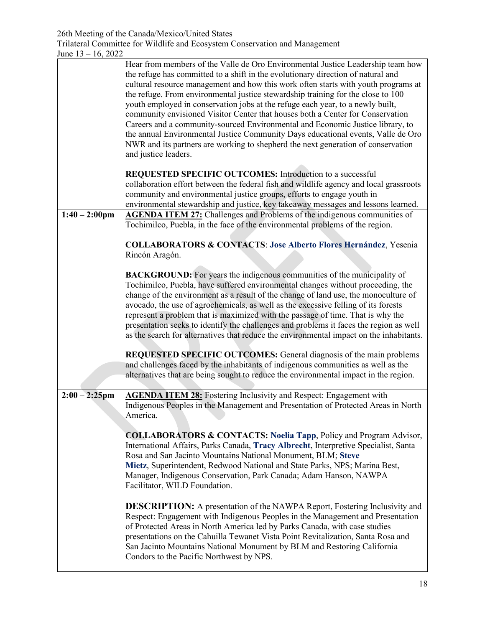|                  | Hear from members of the Valle de Oro Environmental Justice Leadership team how<br>the refuge has committed to a shift in the evolutionary direction of natural and<br>cultural resource management and how this work often starts with youth programs at<br>the refuge. From environmental justice stewardship training for the close to 100<br>youth employed in conservation jobs at the refuge each year, to a newly built,<br>community envisioned Visitor Center that houses both a Center for Conservation<br>Careers and a community-sourced Environmental and Economic Justice library, to<br>the annual Environmental Justice Community Days educational events, Valle de Oro<br>NWR and its partners are working to shepherd the next generation of conservation<br>and justice leaders. |
|------------------|-----------------------------------------------------------------------------------------------------------------------------------------------------------------------------------------------------------------------------------------------------------------------------------------------------------------------------------------------------------------------------------------------------------------------------------------------------------------------------------------------------------------------------------------------------------------------------------------------------------------------------------------------------------------------------------------------------------------------------------------------------------------------------------------------------|
|                  | <b>REQUESTED SPECIFIC OUTCOMES:</b> Introduction to a successful<br>collaboration effort between the federal fish and wildlife agency and local grassroots<br>community and environmental justice groups, efforts to engage youth in<br>environmental stewardship and justice, key takeaway messages and lessons learned.                                                                                                                                                                                                                                                                                                                                                                                                                                                                           |
| $1:40 - 2:00$ pm | <b>AGENDA ITEM 27:</b> Challenges and Problems of the indigenous communities of<br>Tochimilco, Puebla, in the face of the environmental problems of the region.                                                                                                                                                                                                                                                                                                                                                                                                                                                                                                                                                                                                                                     |
|                  | <b>COLLABORATORS &amp; CONTACTS: Jose Alberto Flores Hernández, Yesenia</b><br>Rincón Aragón.                                                                                                                                                                                                                                                                                                                                                                                                                                                                                                                                                                                                                                                                                                       |
|                  | <b>BACKGROUND:</b> For years the indigenous communities of the municipality of<br>Tochimilco, Puebla, have suffered environmental changes without proceeding, the<br>change of the environment as a result of the change of land use, the monoculture of<br>avocado, the use of agrochemicals, as well as the excessive felling of its forests<br>represent a problem that is maximized with the passage of time. That is why the<br>presentation seeks to identify the challenges and problems it faces the region as well<br>as the search for alternatives that reduce the environmental impact on the inhabitants.                                                                                                                                                                              |
|                  | REQUESTED SPECIFIC OUTCOMES: General diagnosis of the main problems<br>and challenges faced by the inhabitants of indigenous communities as well as the<br>alternatives that are being sought to reduce the environmental impact in the region.                                                                                                                                                                                                                                                                                                                                                                                                                                                                                                                                                     |
| $2:00 - 2:25$ pm | <b>AGENDA ITEM 28:</b> Fostering Inclusivity and Respect: Engagement with<br>Indigenous Peoples in the Management and Presentation of Protected Areas in North<br>America.                                                                                                                                                                                                                                                                                                                                                                                                                                                                                                                                                                                                                          |
|                  | <b>COLLABORATORS &amp; CONTACTS: Noelia Tapp, Policy and Program Advisor,</b><br>International Affairs, Parks Canada, Tracy Albrecht, Interpretive Specialist, Santa<br>Rosa and San Jacinto Mountains National Monument, BLM; Steve<br>Mietz, Superintendent, Redwood National and State Parks, NPS; Marina Best,<br>Manager, Indigenous Conservation, Park Canada; Adam Hanson, NAWPA<br>Facilitator, WILD Foundation.                                                                                                                                                                                                                                                                                                                                                                            |
|                  | <b>DESCRIPTION:</b> A presentation of the NAWPA Report, Fostering Inclusivity and<br>Respect: Engagement with Indigenous Peoples in the Management and Presentation<br>of Protected Areas in North America led by Parks Canada, with case studies<br>presentations on the Cahuilla Tewanet Vista Point Revitalization, Santa Rosa and<br>San Jacinto Mountains National Monument by BLM and Restoring California<br>Condors to the Pacific Northwest by NPS.                                                                                                                                                                                                                                                                                                                                        |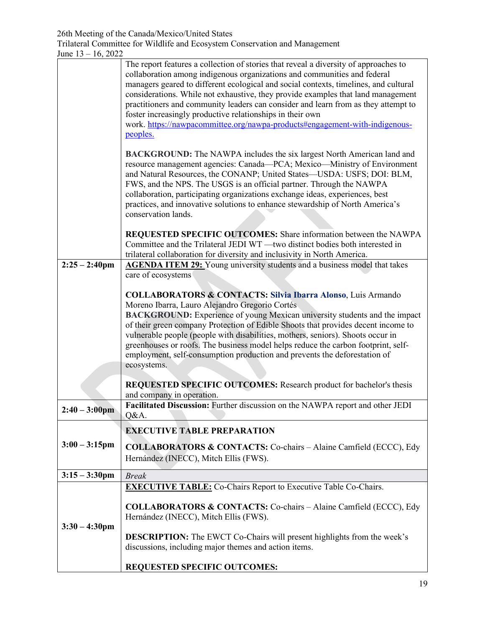|                         | The report features a collection of stories that reveal a diversity of approaches to<br>collaboration among indigenous organizations and communities and federal<br>managers geared to different ecological and social contexts, timelines, and cultural<br>considerations. While not exhaustive, they provide examples that land management<br>practitioners and community leaders can consider and learn from as they attempt to<br>foster increasingly productive relationships in their own<br>work. https://nawpacommittee.org/nawpa-products#engagement-with-indigenous-<br>peoples.<br>BACKGROUND: The NAWPA includes the six largest North American land and<br>resource management agencies: Canada—PCA; Mexico—Ministry of Environment<br>and Natural Resources, the CONANP; United States-USDA: USFS; DOI: BLM,<br>FWS, and the NPS. The USGS is an official partner. Through the NAWPA<br>collaboration, participating organizations exchange ideas, experiences, best<br>practices, and innovative solutions to enhance stewardship of North America's<br>conservation lands. |
|-------------------------|--------------------------------------------------------------------------------------------------------------------------------------------------------------------------------------------------------------------------------------------------------------------------------------------------------------------------------------------------------------------------------------------------------------------------------------------------------------------------------------------------------------------------------------------------------------------------------------------------------------------------------------------------------------------------------------------------------------------------------------------------------------------------------------------------------------------------------------------------------------------------------------------------------------------------------------------------------------------------------------------------------------------------------------------------------------------------------------------|
|                         | REQUESTED SPECIFIC OUTCOMES: Share information between the NAWPA<br>Committee and the Trilateral JEDI WT - two distinct bodies both interested in<br>trilateral collaboration for diversity and inclusivity in North America.                                                                                                                                                                                                                                                                                                                                                                                                                                                                                                                                                                                                                                                                                                                                                                                                                                                              |
| $2:25 - 2:40$ pm        | <b>AGENDA ITEM 29:</b> Young university students and a business model that takes<br>care of ecosystems                                                                                                                                                                                                                                                                                                                                                                                                                                                                                                                                                                                                                                                                                                                                                                                                                                                                                                                                                                                     |
|                         | <b>COLLABORATORS &amp; CONTACTS: Silvia Ibarra Alonso, Luis Armando</b><br>Moreno Ibarra, Lauro Alejandro Gregorio Cortés<br><b>BACKGROUND:</b> Experience of young Mexican university students and the impact<br>of their green company Protection of Edible Shoots that provides decent income to<br>vulnerable people (people with disabilities, mothers, seniors). Shoots occur in<br>greenhouses or roofs. The business model helps reduce the carbon footprint, self-<br>employment, self-consumption production and prevents the deforestation of<br>ecosystems.                                                                                                                                                                                                                                                                                                                                                                                                                                                                                                                    |
|                         | REQUESTED SPECIFIC OUTCOMES: Research product for bachelor's thesis<br>and company in operation.                                                                                                                                                                                                                                                                                                                                                                                                                                                                                                                                                                                                                                                                                                                                                                                                                                                                                                                                                                                           |
| $2:40 - 3:00$ pm        | Facilitated Discussion: Further discussion on the NAWPA report and other JEDI<br>Q&A.                                                                                                                                                                                                                                                                                                                                                                                                                                                                                                                                                                                                                                                                                                                                                                                                                                                                                                                                                                                                      |
| $3:00 - 3:15$ pm        | <b>EXECUTIVE TABLE PREPARATION</b><br><b>COLLABORATORS &amp; CONTACTS:</b> Co-chairs - Alaine Camfield (ECCC), Edy<br>Hernández (INECC), Mitch Ellis (FWS).                                                                                                                                                                                                                                                                                                                                                                                                                                                                                                                                                                                                                                                                                                                                                                                                                                                                                                                                |
| $3:15 - 3:30$ pm        | <b>Break</b>                                                                                                                                                                                                                                                                                                                                                                                                                                                                                                                                                                                                                                                                                                                                                                                                                                                                                                                                                                                                                                                                               |
| $3:30 - 4:30 \text{pm}$ | <b>EXECUTIVE TABLE:</b> Co-Chairs Report to Executive Table Co-Chairs.<br><b>COLLABORATORS &amp; CONTACTS:</b> Co-chairs - Alaine Camfield (ECCC), Edy<br>Hernández (INECC), Mitch Ellis (FWS).<br><b>DESCRIPTION:</b> The EWCT Co-Chairs will present highlights from the week's<br>discussions, including major themes and action items.<br>REQUESTED SPECIFIC OUTCOMES:                                                                                                                                                                                                                                                                                                                                                                                                                                                                                                                                                                                                                                                                                                                 |